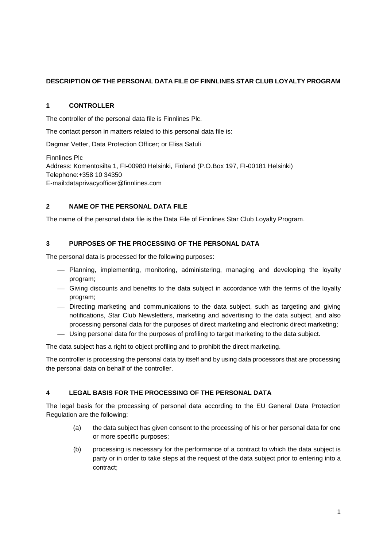## **DESCRIPTION OF THE PERSONAL DATA FILE OF FINNLINES STAR CLUB LOYALTY PROGRAM**

#### **1 CONTROLLER**

The controller of the personal data file is Finnlines Plc.

The contact person in matters related to this personal data file is:

Dagmar Vetter, Data Protection Officer; or Elisa Satuli

Finnlines Plc Address: Komentosilta 1, FI-00980 Helsinki, Finland (P.O.Box 197, FI-00181 Helsinki) Telephone:+358 10 34350 E-mail:dataprivacyofficer@finnlines.com

## **2 NAME OF THE PERSONAL DATA FILE**

The name of the personal data file is the Data File of Finnlines Star Club Loyalty Program.

## **3 PURPOSES OF THE PROCESSING OF THE PERSONAL DATA**

The personal data is processed for the following purposes:

- Planning, implementing, monitoring, administering, managing and developing the loyalty program;
- Giving discounts and benefits to the data subject in accordance with the terms of the loyalty program;
- Directing marketing and communications to the data subject, such as targeting and giving notifications, Star Club Newsletters, marketing and advertising to the data subject, and also processing personal data for the purposes of direct marketing and electronic direct marketing;
- Using personal data for the purposes of profiling to target marketing to the data subject.

The data subject has a right to object profiling and to prohibit the direct marketing.

The controller is processing the personal data by itself and by using data processors that are processing the personal data on behalf of the controller.

## **4 LEGAL BASIS FOR THE PROCESSING OF THE PERSONAL DATA**

The legal basis for the processing of personal data according to the EU General Data Protection Regulation are the following:

- (a) the data subject has given consent to the processing of his or her personal data for one or more specific purposes;
- (b) processing is necessary for the performance of a contract to which the data subject is party or in order to take steps at the request of the data subject prior to entering into a contract;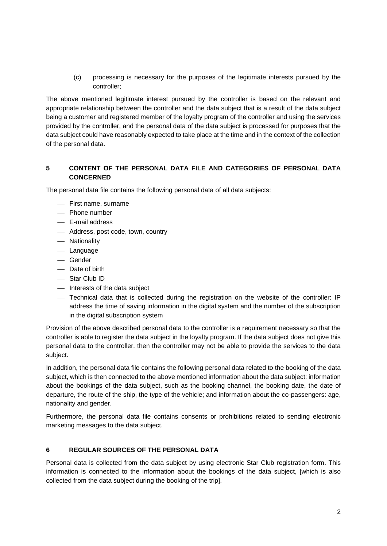(c) processing is necessary for the purposes of the legitimate interests pursued by the controller;

The above mentioned legitimate interest pursued by the controller is based on the relevant and appropriate relationship between the controller and the data subject that is a result of the data subject being a customer and registered member of the loyalty program of the controller and using the services provided by the controller, and the personal data of the data subject is processed for purposes that the data subject could have reasonably expected to take place at the time and in the context of the collection of the personal data.

# **5 CONTENT OF THE PERSONAL DATA FILE AND CATEGORIES OF PERSONAL DATA CONCERNED**

The personal data file contains the following personal data of all data subjects:

- First name, surname
- Phone number
- E-mail address
- Address, post code, town, country
- Nationality
- Language
- Gender
- Date of birth
- Star Club ID
- Interests of the data subject
- Technical data that is collected during the registration on the website of the controller: IP address the time of saving information in the digital system and the number of the subscription in the digital subscription system

Provision of the above described personal data to the controller is a requirement necessary so that the controller is able to register the data subject in the loyalty program. If the data subject does not give this personal data to the controller, then the controller may not be able to provide the services to the data subject.

In addition, the personal data file contains the following personal data related to the booking of the data subject, which is then connected to the above mentioned information about the data subject: information about the bookings of the data subject, such as the booking channel, the booking date, the date of departure, the route of the ship, the type of the vehicle; and information about the co-passengers: age, nationality and gender.

Furthermore, the personal data file contains consents or prohibitions related to sending electronic marketing messages to the data subject.

#### **6 REGULAR SOURCES OF THE PERSONAL DATA**

Personal data is collected from the data subject by using electronic Star Club registration form. This information is connected to the information about the bookings of the data subject, [which is also collected from the data subject during the booking of the trip].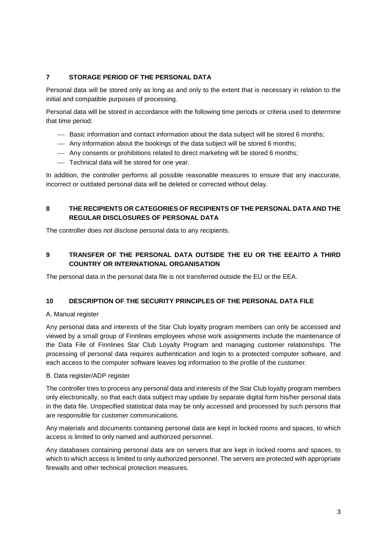## **7 STORAGE PERIOD OF THE PERSONAL DATA**

Personal data will be stored only as long as and only to the extent that is necessary in relation to the initial and compatible purposes of processing.

Personal data will be stored in accordance with the following time periods or criteria used to determine that time period:

- Basic information and contact information about the data subject will be stored 6 months;
- Any information about the bookings of the data subject will be stored 6 months;
- Any consents or prohibitions related to direct marketing will be stored 6 months;
- Technical data will be stored for one year.

In addition, the controller performs all possible reasonable measures to ensure that any inaccurate, incorrect or outdated personal data will be deleted or corrected without delay.

#### **8 THE RECIPIENTS OR CATEGORIES OF RECIPIENTS OF THE PERSONAL DATA AND THE REGULAR DISCLOSURES OF PERSONAL DATA**

The controller does not disclose personal data to any recipients.

# **9 TRANSFER OF THE PERSONAL DATA OUTSIDE THE EU OR THE EEA//TO A THIRD COUNTRY OR INTERNATIONAL ORGANISATION**

The personal data in the personal data file is not transferred outside the EU or the EEA.

#### **10 DESCRIPTION OF THE SECURITY PRINCIPLES OF THE PERSONAL DATA FILE**

#### A. Manual register

Any personal data and interests of the Star Club loyalty program members can only be accessed and viewed by a small group of Finnlines employees whose work assignments include the maintenance of the Data File of Finnlines Star Club Loyalty Program and managing customer relationships. The processing of personal data requires authentication and login to a protected computer software, and each access to the computer software leaves log information to the profile of the customer.

#### B. Data register/ADP register

The controller tries to process any personal data and interests of the Star Club loyalty program members only electronically, so that each data subject may update by separate digital form his/her personal data in the data file. Unspecified statistical data may be only accessed and processed by such persons that are responsible for customer communications.

Any materials and documents containing personal data are kept in locked rooms and spaces, to which access is limited to only named and authorized personnel.

Any databases containing personal data are on servers that are kept in locked rooms and spaces, to which to which access is limited to only authorized personnel. The servers are protected with appropriate firewalls and other technical protection measures.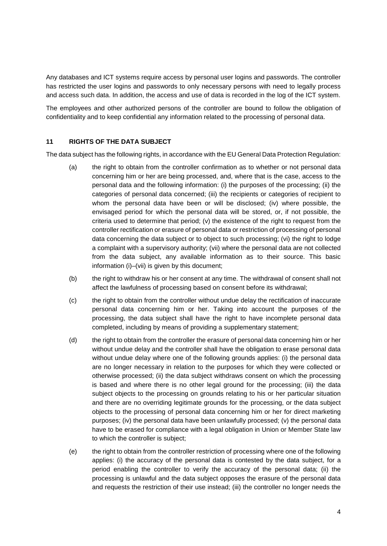Any databases and ICT systems require access by personal user logins and passwords. The controller has restricted the user logins and passwords to only necessary persons with need to legally process and access such data. In addition, the access and use of data is recorded in the log of the ICT system.

The employees and other authorized persons of the controller are bound to follow the obligation of confidentiality and to keep confidential any information related to the processing of personal data.

#### **11 RIGHTS OF THE DATA SUBJECT**

The data subject has the following rights, in accordance with the EU General Data Protection Regulation:

- (a) the right to obtain from the controller confirmation as to whether or not personal data concerning him or her are being processed, and, where that is the case, access to the personal data and the following information: (i) the purposes of the processing; (ii) the categories of personal data concerned; (iii) the recipients or categories of recipient to whom the personal data have been or will be disclosed; (iv) where possible, the envisaged period for which the personal data will be stored, or, if not possible, the criteria used to determine that period; (v) the existence of the right to request from the controller rectification or erasure of personal data or restriction of processing of personal data concerning the data subject or to object to such processing; (vi) the right to lodge a complaint with a supervisory authority; (vii) where the personal data are not collected from the data subject, any available information as to their source. This basic information (i)–(vii) is given by this document;
- (b) the right to withdraw his or her consent at any time. The withdrawal of consent shall not affect the lawfulness of processing based on consent before its withdrawal;
- (c) the right to obtain from the controller without undue delay the rectification of inaccurate personal data concerning him or her. Taking into account the purposes of the processing, the data subject shall have the right to have incomplete personal data completed, including by means of providing a supplementary statement;
- (d) the right to obtain from the controller the erasure of personal data concerning him or her without undue delay and the controller shall have the obligation to erase personal data without undue delay where one of the following grounds applies: (i) the personal data are no longer necessary in relation to the purposes for which they were collected or otherwise processed; (ii) the data subject withdraws consent on which the processing is based and where there is no other legal ground for the processing; (iii) the data subject objects to the processing on grounds relating to his or her particular situation and there are no overriding legitimate grounds for the processing, or the data subject objects to the processing of personal data concerning him or her for direct marketing purposes; (iv) the personal data have been unlawfully processed; (v) the personal data have to be erased for compliance with a legal obligation in Union or Member State law to which the controller is subject;
- (e) the right to obtain from the controller restriction of processing where one of the following applies: (i) the accuracy of the personal data is contested by the data subject, for a period enabling the controller to verify the accuracy of the personal data; (ii) the processing is unlawful and the data subject opposes the erasure of the personal data and requests the restriction of their use instead; (iii) the controller no longer needs the